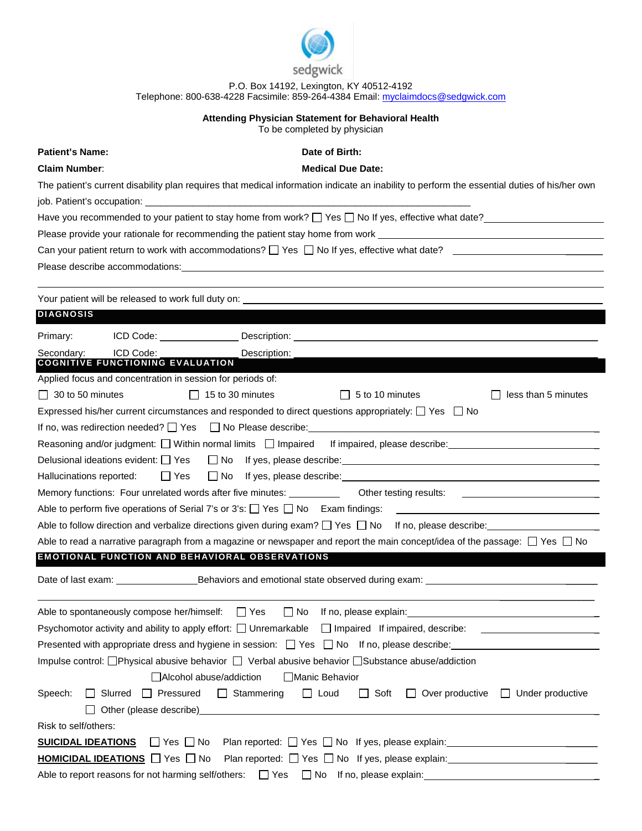

P.O. Box 14192, Lexington, KY 40512-4192 Telephone: 800-638-4228 Facsimile: 859-264-4384 Email[: myclaimdocs@sedgwick.com](mailto:myclaimdocs@sedgwick.com)

## **Attending Physician Statement for Behavioral Health**

To be completed by physician

**Patient's Name: Date of Birth: Date of Birth: Claim Number**: **Medical Due Date:**  The patient's current disability plan requires that medical information indicate an inability to perform the essential duties of his/her own job. Patient's occupation: Have you recommended to your patient to stay home from work?  $\Box$  Yes  $\Box$  No If yes, effective what date? Please provide your rationale for recommending the patient stay home from work Can your patient return to work with accommodations?  $\Box$  Yes  $\Box$  No If yes, effective what date? Please describe accommodations: Your patient will be released to work full duty on: **DIAGNOSIS** Primary: **ICD Code: Description:** Secondary: ICD Code: \_\_\_\_\_\_\_\_\_\_\_\_\_\_\_ Description: \_\_\_\_\_\_\_\_\_\_\_\_\_\_\_\_\_\_\_\_\_\_\_\_\_\_\_\_\_\_\_\_\_\_\_\_\_\_\_\_\_\_\_\_\_\_\_\_\_\_\_\_\_\_\_\_\_\_ **COGNITIVE FUNCTIONING EVALUATION** Applied focus and concentration in session for periods of:  $\Box$  30 to 50 minutes  $\Box$  15 to 30 minutes  $\Box$  5 to 10 minutes  $\Box$  less than 5 minutes Expressed his/her current circumstances and responded to direct questions appropriately:  $\Box$  Yes  $\Box$  No If no, was redirection needed?  $\Box$  Yes  $\Box$  No Please describe: Reasoning and/or judgment:  $\Box$  Within normal limits  $\Box$  Impaired If impaired, please describe: Delusional ideations evident:  $\Box$  Yes  $\Box$  No If yes, please describe: Hallucinations reported:  $\Box$  Yes  $\Box$  No If yes, please describe: Memory functions: Four unrelated words after five minutes: Other testing results: Able to perform five operations of Serial 7's or 3's:  $\Box$  Yes  $\Box$  No Exam findings: Able to follow direction and verbalize directions given during exam?  $\Box$  Yes  $\Box$  No If no, please describe: Able to read a narrative paragraph from a magazine or newspaper and report the main concept/idea of the passage:  $\Box$  Yes  $\Box$  No **EMOTIONAL FUNCTION AND BEHAVIORAL OBSERVATIONS** Date of last exam: Behaviors and emotional state observed during exam: \_\_\_\_\_\_\_\_\_\_\_\_\_\_\_\_\_\_ Able to spontaneously compose her/himself:  $\Box$  Yes  $\Box$  No If no, please explain: Psychomotor activity and ability to apply effort:  $\Box$  Unremarkable  $\Box$  Impaired If impaired, describe: Presented with appropriate dress and hygiene in session:  $\Box$  Yes  $\Box$  No If no, please describe: Impulse control: **Physical abusive behavior**  $\Box$  Verbal abusive behavior  $\Box$  Substance abuse/addiction  $\Box$ Alcohol abuse/addiction  $\Box$  Manic Behavior Speech:  $\Box$  Slurred  $\Box$  Pressured  $\Box$  Stammering  $\Box$  Loud  $\Box$  Soft  $\Box$  Over productive  $\Box$  Under productive  $\Box$  Other (please describe) Risk to self/others: **SUICIDAL IDEATIONS**  $\Box$  Yes  $\Box$  No Plan reported:  $\Box$  Yes  $\Box$  No If yes, please explain: **HOMICIDAL IDEATIONS**  $\Box$  Yes  $\Box$  No Plan reported:  $\Box$  Yes  $\Box$  No If yes, please explain: Able to report reasons for not harming self/others:  $\Box$  Yes  $\Box$  No If no, please explain: